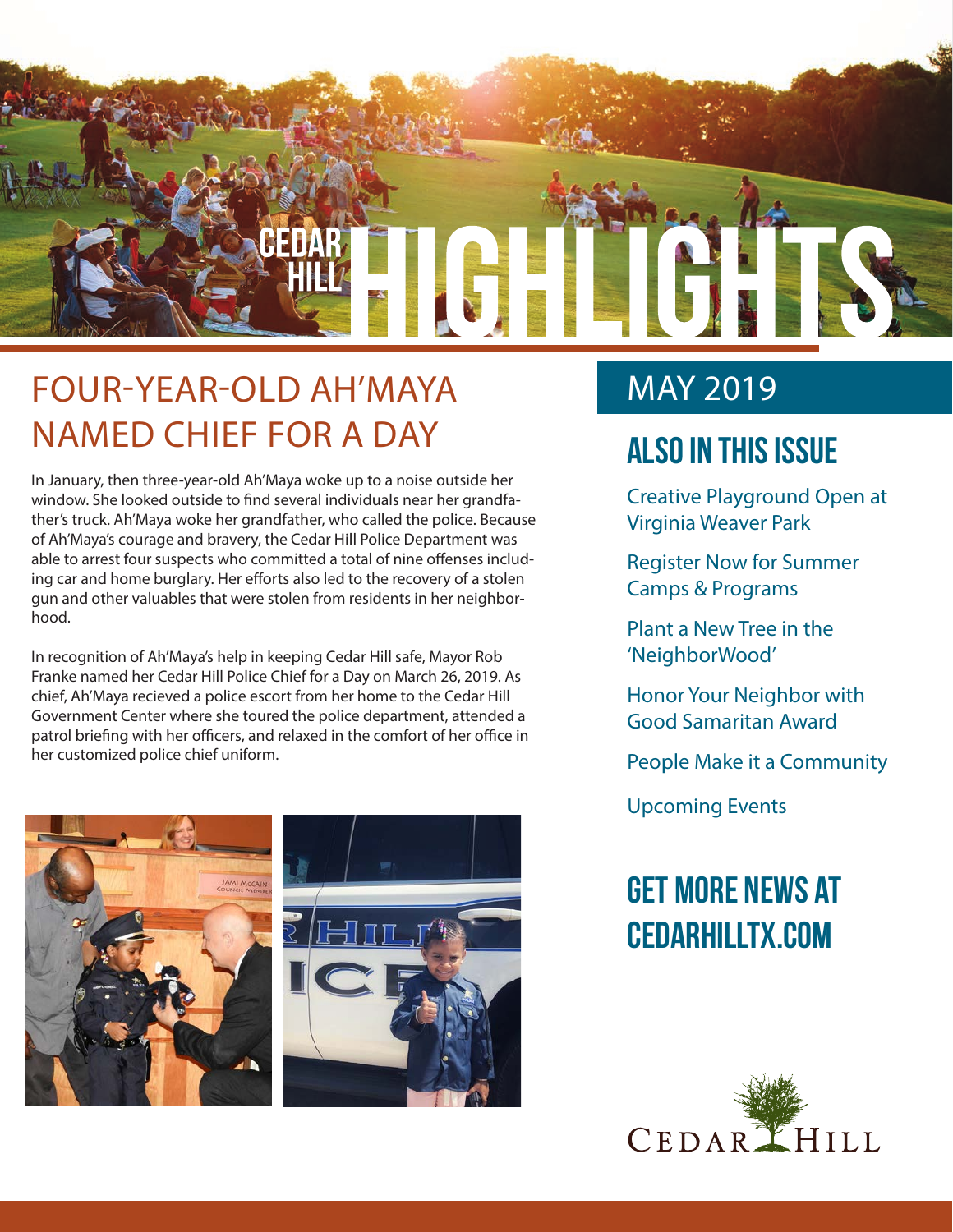

## FOUR-YEAR-OLD AH'MAYA NAMED CHIEF FOR A DAY

In January, then three-year-old Ah'Maya woke up to a noise outside her window. She looked outside to find several individuals near her grandfather's truck. Ah'Maya woke her grandfather, who called the police. Because of Ah'Maya's courage and bravery, the Cedar Hill Police Department was able to arrest four suspects who committed a total of nine offenses including car and home burglary. Her efforts also led to the recovery of a stolen gun and other valuables that were stolen from residents in her neighborhood.

In recognition of Ah'Maya's help in keeping Cedar Hill safe, Mayor Rob Franke named her Cedar Hill Police Chief for a Day on March 26, 2019. As chief, Ah'Maya recieved a police escort from her home to the Cedar Hill Government Center where she toured the police department, attended a patrol briefing with her officers, and relaxed in the comfort of her office in her customized police chief uniform.



### MAY 2019

### **Also In this Issue**

Creative Playground Open at Virginia Weaver Park

Register Now for Summer Camps & Programs

Plant a New Tree in the 'NeighborWood'

Honor Your Neighbor with Good Samaritan Award

People Make it a Community

Upcoming Events

## **Get more news at cedarhilltx.com**

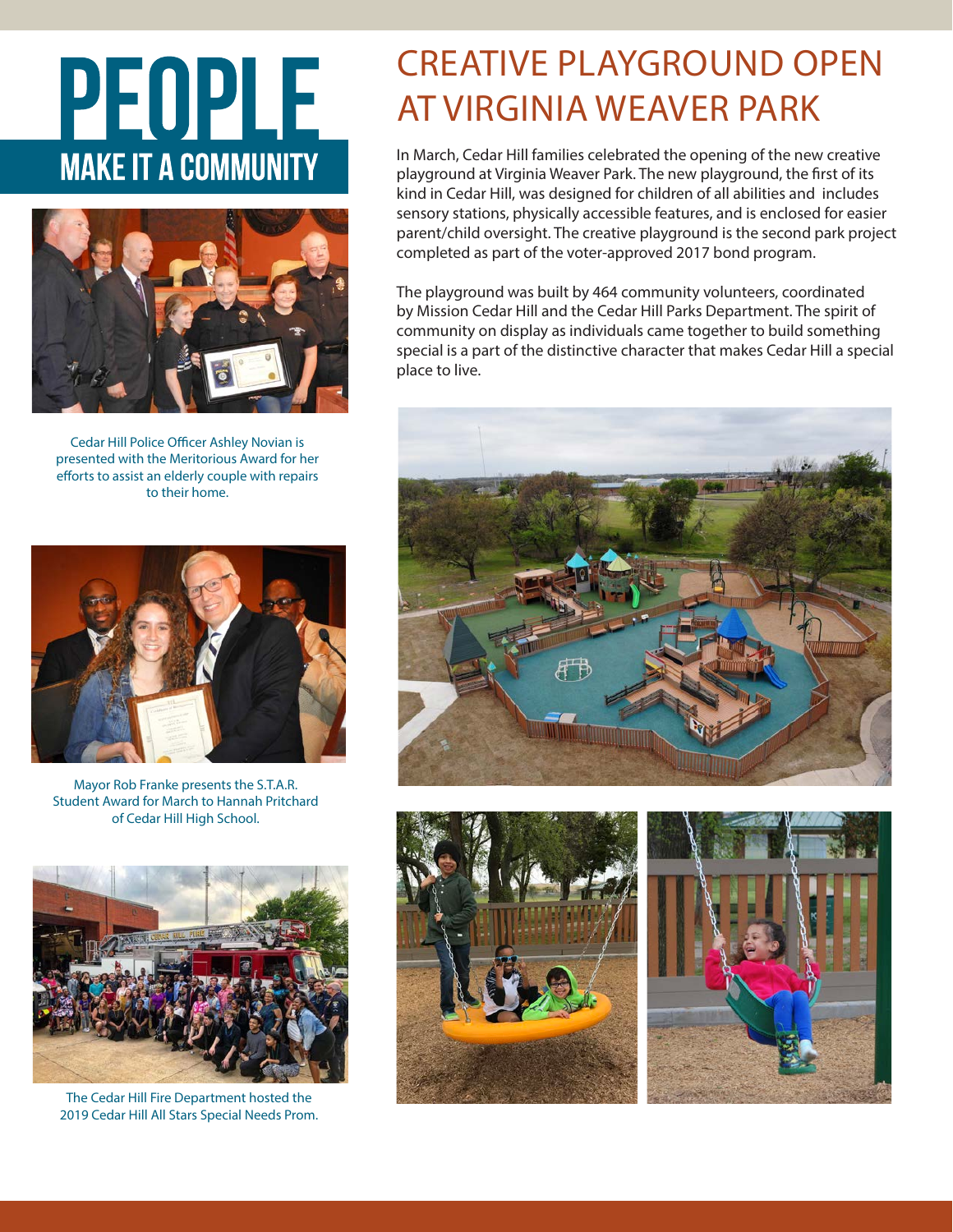# PEOPLE **MAKE IT A COMMUNITY**



Cedar Hill Police Officer Ashley Novian is presented with the Meritorious Award for her efforts to assist an elderly couple with repairs to their home.



Mayor Rob Franke presents the S.T.A.R. Student Award for March to Hannah Pritchard of Cedar Hill High School.



The Cedar Hill Fire Department hosted the 2019 Cedar Hill All Stars Special Needs Prom.

## CREATIVE PLAYGROUND OPEN AT VIRGINIA WEAVER PARK

In March, Cedar Hill families celebrated the opening of the new creative playground at Virginia Weaver Park. The new playground, the first of its kind in Cedar Hill, was designed for children of all abilities and includes sensory stations, physically accessible features, and is enclosed for easier parent/child oversight. The creative playground is the second park project completed as part of the voter-approved 2017 bond program.

The playground was built by 464 community volunteers, coordinated by Mission Cedar Hill and the Cedar Hill Parks Department. The spirit of community on display as individuals came together to build something special is a part of the distinctive character that makes Cedar Hill a special place to live.





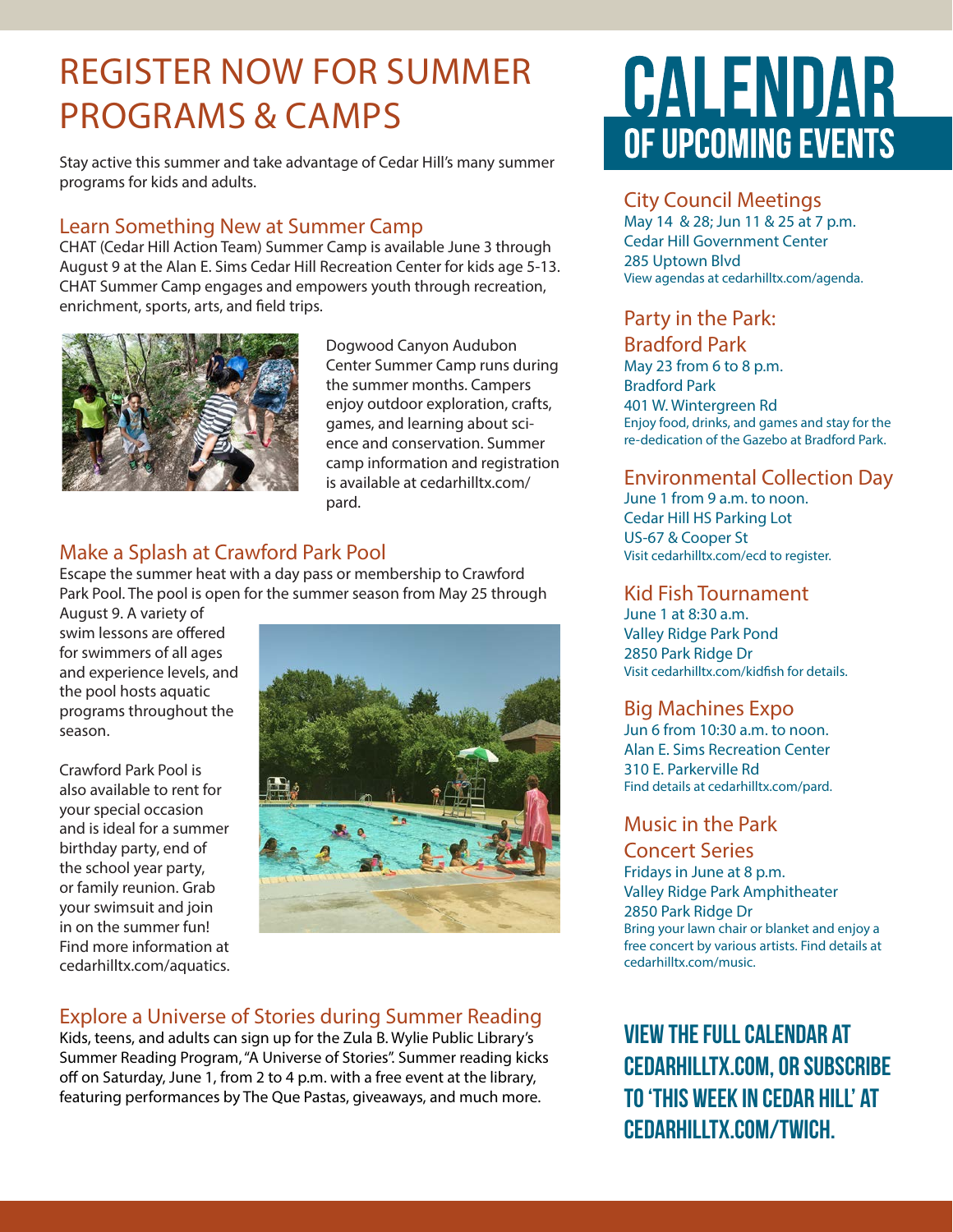### REGISTER NOW FOR SUMMER PROGRAMS & CAMPS

Stay active this summer and take advantage of Cedar Hill's many summer programs for kids and adults.

### Learn Something New at Summer Camp

CHAT (Cedar Hill Action Team) Summer Camp is available June 3 through August 9 at the Alan E. Sims Cedar Hill Recreation Center for kids age 5-13. CHAT Summer Camp engages and empowers youth through recreation, enrichment, sports, arts, and field trips.



Dogwood Canyon Audubon Center Summer Camp runs during the summer months. Campers enjoy outdoor exploration, crafts, games, and learning about science and conservation. Summer camp information and registration is available at cedarhilltx.com/ pard.

### Make a Splash at Crawford Park Pool

Escape the summer heat with a day pass or membership to Crawford Park Pool. The pool is open for the summer season from May 25 through

August 9. A variety of swim lessons are offered for swimmers of all ages and experience levels, and the pool hosts aquatic programs throughout the season.

Crawford Park Pool is also available to rent for your special occasion and is ideal for a summer birthday party, end of the school year party, or family reunion. Grab your swimsuit and join in on the summer fun! Find more information at cedarhilltx.com/aquatics.



### Explore a Universe of Stories during Summer Reading

Kids, teens, and adults can sign up for the Zula B. Wylie Public Library's Summer Reading Program, "A Universe of Stories". Summer reading kicks off on Saturday, June 1, from 2 to 4 p.m. with a free event at the library, featuring performances by The Que Pastas, giveaways, and much more.

# CALENDAR OF UPCOMING EVENTS

#### City Council Meetings

May 14 & 28; Jun 11 & 25 at 7 p.m. Cedar Hill Government Center 285 Uptown Blvd View agendas at cedarhilltx.com/agenda.

### Party in the Park:

#### Bradford Park

May 23 from 6 to 8 p.m. Bradford Park 401 W. Wintergreen Rd Enjoy food, drinks, and games and stay for the re-dedication of the Gazebo at Bradford Park.

### Environmental Collection Day

June 1 from 9 a.m. to noon. Cedar Hill HS Parking Lot US-67 & Cooper St Visit cedarhilltx.com/ecd to register.

#### Kid Fish Tournament

June 1 at 8:30 a.m. Valley Ridge Park Pond 2850 Park Ridge Dr Visit cedarhilltx.com/kidfish for details.

### Big Machines Expo

Jun 6 from 10:30 a.m. to noon. Alan E. Sims Recreation Center 310 E. Parkerville Rd Find details at cedarhilltx.com/pard.

#### Music in the Park

Concert Series Fridays in June at 8 p.m. Valley Ridge Park Amphitheater 2850 Park Ridge Dr Bring your lawn chair or blanket and enjoy a free concert by various artists. Find details at cedarhilltx.com/music.

**View the full calendar at cedarhilltx.com, or subscribe to 'This Week in Cedar Hill' at cedarhilltx.com/twich.**